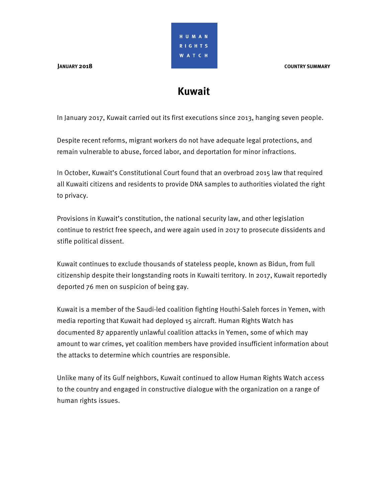**JANUARY 2018 COUNTRY SUMMARY**



# **Kuwait**

In January 2017, Kuwait carried out its first executions since 2013, hanging seven people.

Despite recent reforms, migrant workers do not have adequate legal protections, and remain vulnerable to abuse, forced labor, and deportation for minor infractions.

In October, Kuwait's Constitutional Court found that an overbroad 2015 law that required all Kuwaiti citizens and residents to provide DNA samples to authorities violated the right to privacy.

Provisions in Kuwait's constitution, the national security law, and other legislation continue to restrict free speech, and were again used in 2017 to prosecute dissidents and stifle political dissent.

Kuwait continues to exclude thousands of stateless people, known as Bidun, from full citizenship despite their longstanding roots in Kuwaiti territory. In 2017, Kuwait reportedly deported 76 men on suspicion of being gay.

Kuwait is a member of the Saudi-led coalition fighting Houthi-Saleh forces in Yemen, with media reporting that Kuwait had deployed 15 aircraft. Human Rights Watch has documented 87 apparently unlawful coalition attacks in Yemen, some of which may amount to war crimes, yet coalition members have provided insufficient information about the attacks to determine which countries are responsible.

Unlike many of its Gulf neighbors, Kuwait continued to allow Human Rights Watch access to the country and engaged in constructive dialogue with the organization on a range of human rights issues.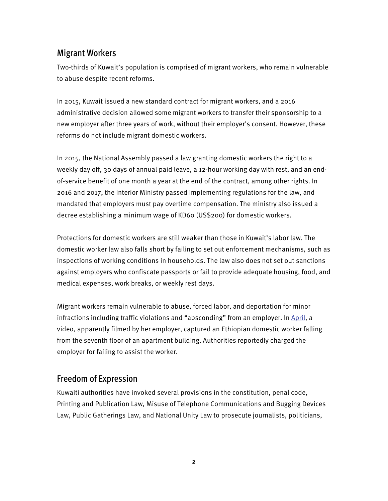## Migrant Workers

Two-thirds of Kuwait's population is comprised of migrant workers, who remain vulnerable to abuse despite recent reforms.

In 2015, Kuwait issued a new standard contract for migrant workers, and a 2016 administrative decision allowed some migrant workers to transfer their sponsorship to a new employer after three years of work, without their employer's consent. However, these reforms do not include migrant domestic workers.

In 2015, the National Assembly passed a law granting domestic workers the right to a weekly day off, 30 days of annual paid leave, a 12-hour working day with rest, and an endof-service benefit of one month a year at the end of the contract, among other rights. In 2016 and 2017, the Interior Ministry passed implementing regulations for the law, and mandated that employers must pay overtime compensation. The ministry also issued a decree establishing a minimum wage of KD60 (US\$200) for domestic workers.

Protections for domestic workers are still weaker than those in Kuwait's labor law. The domestic worker law also falls short by failing to set out enforcement mechanisms, such as inspections of working conditions in households. The law also does not set out sanctions against employers who confiscate passports or fail to provide adequate housing, food, and medical expenses, work breaks, or weekly rest days.

Migrant workers remain vulnerable to abuse, forced labor, and deportation for minor infractions including traffic violations and "absconding" from an employer. In April, a video, apparently filmed by her employer, captured an Ethiopian domestic worker falling from the seventh floor of an apartment building. Authorities reportedly charged the employer for failing to assist the worker.

## Freedom of Expression

Kuwaiti authorities have invoked several provisions in the constitution, penal code, Printing and Publication Law, Misuse of Telephone Communications and Bugging Devices Law, Public Gatherings Law, and National Unity Law to prosecute journalists, politicians,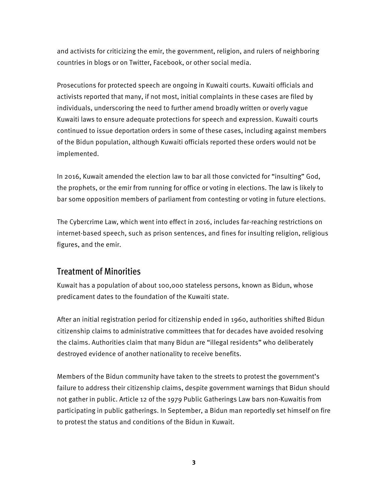and activists for criticizing the emir, the government, religion, and rulers of neighboring countries in blogs or on Twitter, Facebook, or other social media.

Prosecutions for protected speech are ongoing in Kuwaiti courts. Kuwaiti officials and activists reported that many, if not most, initial complaints in these cases are filed by individuals, underscoring the need to further amend broadly written or overly vague Kuwaiti laws to ensure adequate protections for speech and expression. Kuwaiti courts continued to issue deportation orders in some of these cases, including against members of the Bidun population, although Kuwaiti officials reported these orders would not be implemented.

In 2016, Kuwait amended the election law to bar all those convicted for "insulting" God, the prophets, or the emir from running for office or voting in elections. The law is likely to bar some opposition members of parliament from contesting or voting in future elections.

The Cybercrime Law, which went into effect in 2016, includes far-reaching restrictions on internet-based speech, such as prison sentences, and fines for insulting religion, religious figures, and the emir.

### Treatment of Minorities

Kuwait has a population of about 100,000 stateless persons, known as Bidun, whose predicament dates to the foundation of the Kuwaiti state.

After an initial registration period for citizenship ended in 1960, authorities shifted Bidun citizenship claims to administrative committees that for decades have avoided resolving the claims. Authorities claim that many Bidun are "illegal residents" who deliberately destroyed evidence of another nationality to receive benefits.

Members of the Bidun community have taken to the streets to protest the government's failure to address their citizenship claims, despite government warnings that Bidun should not gather in public. Article 12 of the 1979 Public Gatherings Law bars non-Kuwaitis from participating in public gatherings. In September, a Bidun man reportedly set himself on fire to protest the status and conditions of the Bidun in Kuwait.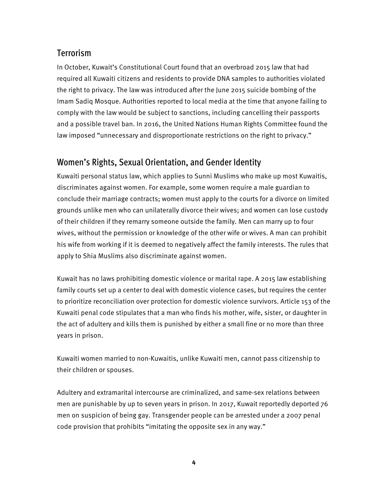## Terrorism

In October, Kuwait's Constitutional Court found that an overbroad 2015 law that had required all Kuwaiti citizens and residents to provide DNA samples to authorities violated the right to privacy. The law was introduced after the June 2015 suicide bombing of the Imam Sadiq Mosque. Authorities reported to local media at the time that anyone failing to comply with the law would be subject to sanctions, including cancelling their passports and a possible travel ban. In 2016, the United Nations Human Rights Committee found the law imposed "unnecessary and disproportionate restrictions on the right to privacy."

## Women's Rights, Sexual Orientation, and Gender Identity

Kuwaiti personal status law, which applies to Sunni Muslims who make up most Kuwaitis, discriminates against women. For example, some women require a male guardian to conclude their marriage contracts; women must apply to the courts for a divorce on limited grounds unlike men who can unilaterally divorce their wives; and women can lose custody of their children if they remarry someone outside the family. Men can marry up to four wives, without the permission or knowledge of the other wife or wives. A man can prohibit his wife from working if it is deemed to negatively affect the family interests. The rules that apply to Shia Muslims also discriminate against women.

Kuwait has no laws prohibiting domestic violence or marital rape. A 2015 law establishing family courts set up a center to deal with domestic violence cases, but requires the center to prioritize reconciliation over protection for domestic violence survivors. Article 153 of the Kuwaiti penal code stipulates that a man who finds his mother, wife, sister, or daughter in the act of adultery and kills them is punished by either a small fine or no more than three years in prison.

Kuwaiti women married to non-Kuwaitis, unlike Kuwaiti men, cannot pass citizenship to their children or spouses.

Adultery and extramarital intercourse are criminalized, and same-sex relations between men are punishable by up to seven years in prison. In 2017, Kuwait reportedly deported 76 men on suspicion of being gay. Transgender people can be arrested under a 2007 penal code provision that prohibits "imitating the opposite sex in any way."